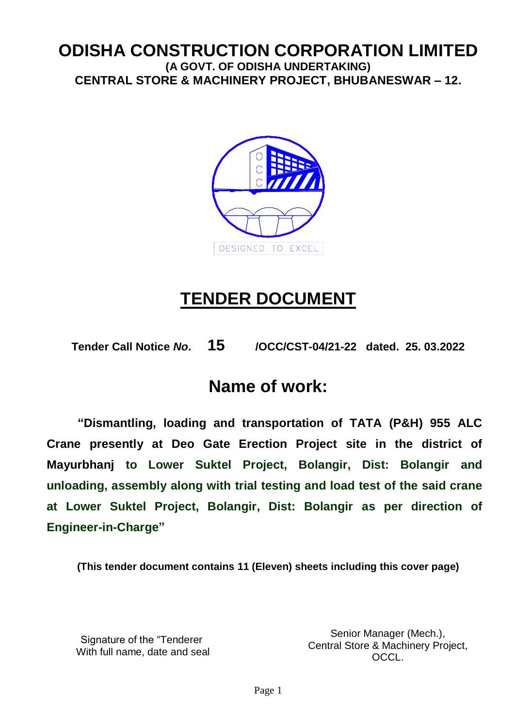### **ODISHA CONSTRUCTION CORPORATION LIMITED (A GOVT. OF ODISHA UNDERTAKING) CENTRAL STORE & MACHINERY PROJECT, BHUBANESWAR – 12.**



# **TENDER DOCUMENT**

**Tender Call Notice** *No***. 15 /OCC/CST-04/21-22 dated. 25. 03.2022**

## **Name of work:**

**"Dismantling, loading and transportation of TATA (P&H) 955 ALC Crane presently at Deo Gate Erection Project site in the district of Mayurbhanj to Lower Suktel Project, Bolangir, Dist: Bolangir and unloading, assembly along with trial testing and load test of the said crane at Lower Suktel Project, Bolangir, Dist: Bolangir as per direction of Engineer-in-Charge"**

**(This tender document contains 11 (Eleven) sheets including this cover page)**

Signature of the "Tenderer With full name, date and seal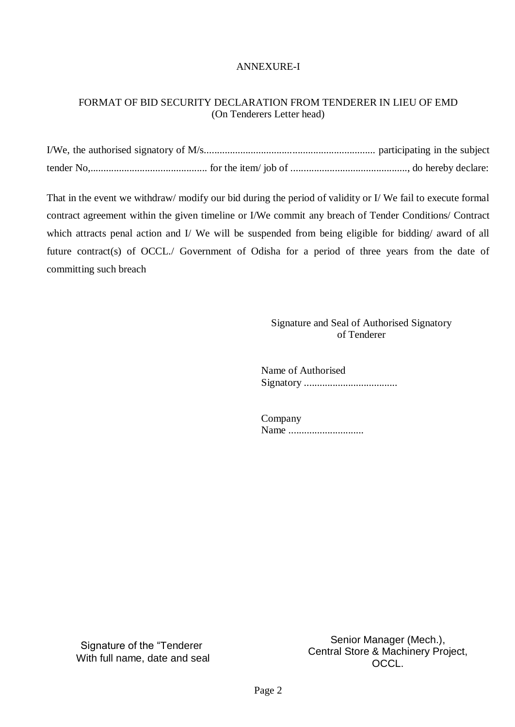#### ANNEXURE-I

#### FORMAT OF BID SECURITY DECLARATION FROM TENDERER IN LIEU OF EMD (On Tenderers Letter head)

That in the event we withdraw/ modify our bid during the period of validity or I/ We fail to execute formal contract agreement within the given timeline or I/We commit any breach of Tender Conditions/ Contract which attracts penal action and I/ We will be suspended from being eligible for bidding/ award of all future contract(s) of OCCL./ Government of Odisha for a period of three years from the date of committing such breach

#### Signature and Seal of Authorised Signatory of Tenderer

Name of Authorised Signatory ....................................

| Company |  |
|---------|--|
| Name    |  |

Signature of the "Tenderer With full name, date and seal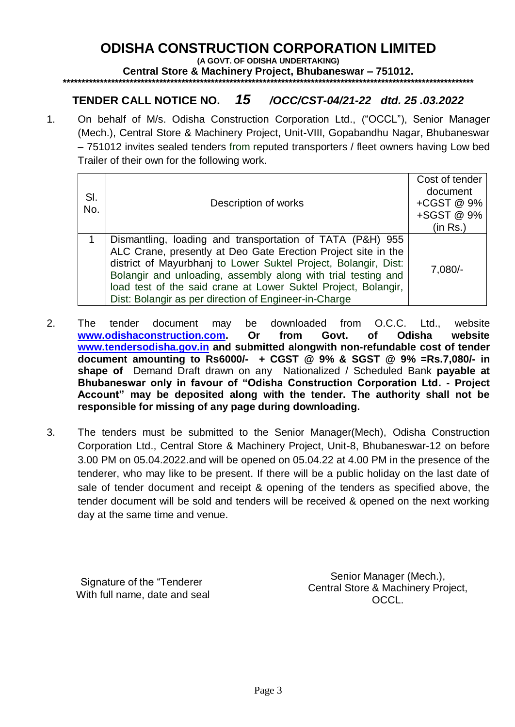### **ODISHA CONSTRUCTION CORPORATION LIMITED**

**(A GOVT. OF ODISHA UNDERTAKING)** 

**Central Store & Machinery Project, Bhubaneswar – 751012. \*\*\*\*\*\*\*\*\*\*\*\*\*\*\*\*\*\*\*\*\*\*\*\*\*\*\*\*\*\*\*\*\*\*\*\*\*\*\*\*\*\*\*\*\*\*\*\*\*\*\*\*\*\*\*\*\*\*\*\*\*\*\*\*\*\*\*\*\*\*\*\*\*\*\*\*\*\*\*\*\*\*\*\*\*\*\*\*\*\*\*\*\*\*\*\*\*\*\*\*\*\*\*\*\*\*\*\*\*\*\***

#### **TENDER CALL NOTICE NO.** *15 /OCC/CST-04/21-22 dtd. 25 .03.2022*

1. On behalf of M/s. Odisha Construction Corporation Ltd., ("OCCL"), Senior Manager (Mech.), Central Store & Machinery Project, Unit-VIII, Gopabandhu Nagar, Bhubaneswar – 751012 invites sealed tenders from reputed transporters / fleet owners having Low bed Trailer of their own for the following work.

| SI.<br>No. | Description of works                                                                                                                                                                                                                                                                                                                                                                      | Cost of tender<br>document<br>+CGST @ 9%<br>+SGST @ 9%<br>(in Rs.) |  |
|------------|-------------------------------------------------------------------------------------------------------------------------------------------------------------------------------------------------------------------------------------------------------------------------------------------------------------------------------------------------------------------------------------------|--------------------------------------------------------------------|--|
| 1.         | Dismantling, loading and transportation of TATA (P&H) 955<br>ALC Crane, presently at Deo Gate Erection Project site in the<br>district of Mayurbhanj to Lower Suktel Project, Bolangir, Dist:<br>Bolangir and unloading, assembly along with trial testing and<br>load test of the said crane at Lower Suktel Project, Bolangir,<br>Dist: Bolangir as per direction of Engineer-in-Charge | $7,080/-$                                                          |  |

- 2. The tender document may be downloaded from O.C.C. Ltd., website **[www.odishaconstruction.com.](http://www.odishaconstruction.com/) Or from Govt. of Odisha website [www.tendersodisha.gov.in](http://www.tendersodisha.gov.in/) and submitted alongwith non-refundable cost of tender document amounting to Rs6000/- + CGST @ 9% & SGST @ 9% =Rs.7,080/- in shape of** Demand Draft drawn on any Nationalized / Scheduled Bank **payable at Bhubaneswar only in favour of "Odisha Construction Corporation Ltd. - Project Account" may be deposited along with the tender. The authority shall not be responsible for missing of any page during downloading.**
- 3. The tenders must be submitted to the Senior Manager(Mech), Odisha Construction Corporation Ltd., Central Store & Machinery Project, Unit-8, Bhubaneswar-12 on before 3.00 PM on 05.04.2022.and will be opened on 05.04.22 at 4.00 PM in the presence of the tenderer, who may like to be present. If there will be a public holiday on the last date of sale of tender document and receipt & opening of the tenders as specified above, the tender document will be sold and tenders will be received & opened on the next working day at the same time and venue.

Signature of the "Tenderer With full name, date and seal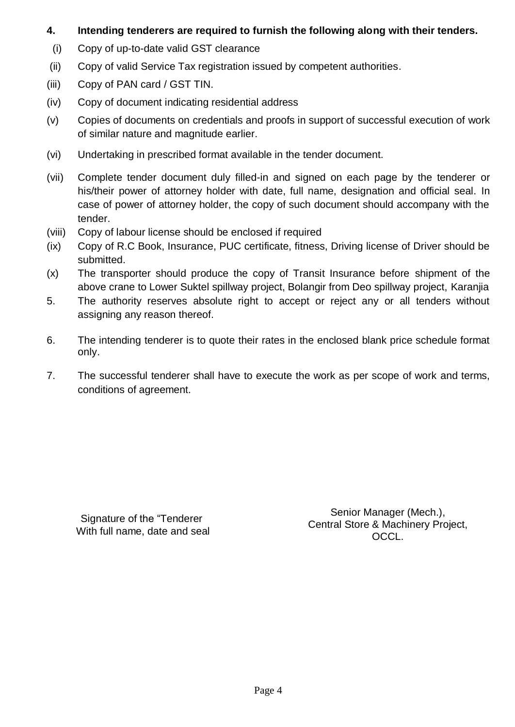#### **4. Intending tenderers are required to furnish the following along with their tenders.**

- (i) Copy of up-to-date valid GST clearance
- (ii) Copy of valid Service Tax registration issued by competent authorities.
- (iii) Copy of PAN card / GST TIN.
- (iv) Copy of document indicating residential address
- (v) Copies of documents on credentials and proofs in support of successful execution of work of similar nature and magnitude earlier.
- (vi) Undertaking in prescribed format available in the tender document.
- (vii) Complete tender document duly filled-in and signed on each page by the tenderer or his/their power of attorney holder with date, full name, designation and official seal. In case of power of attorney holder, the copy of such document should accompany with the tender.
- (viii) Copy of labour license should be enclosed if required
- (ix) Copy of R.C Book, Insurance, PUC certificate, fitness, Driving license of Driver should be submitted.
- (x) The transporter should produce the copy of Transit Insurance before shipment of the above crane to Lower Suktel spillway project, Bolangir from Deo spillway project, Karanjia
- 5. The authority reserves absolute right to accept or reject any or all tenders without assigning any reason thereof.
- 6. The intending tenderer is to quote their rates in the enclosed blank price schedule format only.
- 7. The successful tenderer shall have to execute the work as per scope of work and terms, conditions of agreement.

Signature of the "Tenderer With full name, date and seal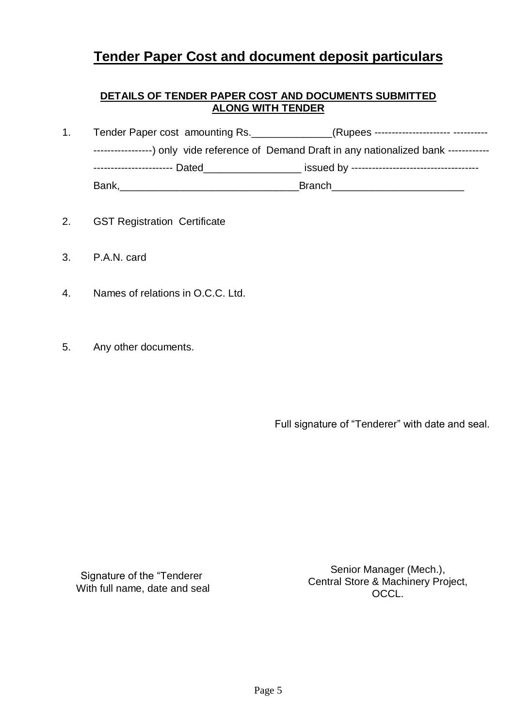### **Tender Paper Cost and document deposit particulars**

#### **DETAILS OF TENDER PAPER COST AND DOCUMENTS SUBMITTED ALONG WITH TENDER**

- 1. Tender Paper cost amounting Rs. \_\_\_\_\_\_\_\_\_\_\_\_\_(Rupees ---------------------- ---------------------------) only vide reference of Demand Draft in any nationalized bank ----------------------------------- Dated\_\_\_\_\_\_\_\_\_\_\_\_\_\_\_\_\_ issued by ------------------------------------- Bank, Ethiophysical Execution of the Branch
- 2. GST Registration Certificate
- 3. P.A.N. card
- 4. Names of relations in O.C.C. Ltd.
- 5. Any other documents.

Full signature of "Tenderer" with date and seal.

Signature of the "Tenderer With full name, date and seal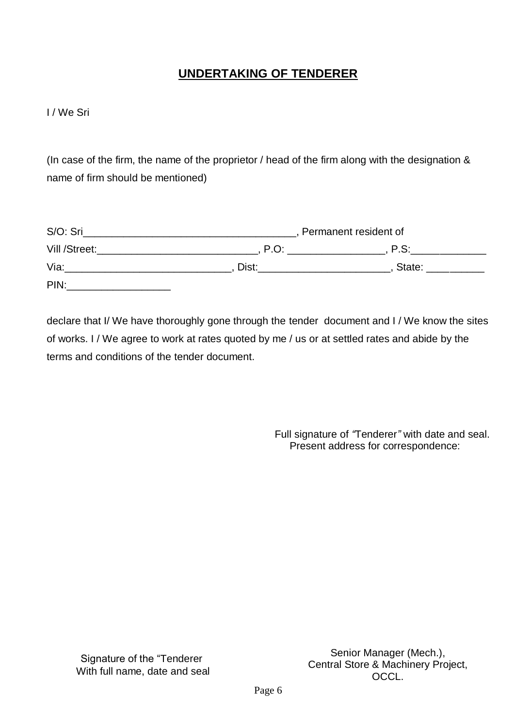### **UNDERTAKING OF TENDERER**

I / We Sri

(In case of the firm, the name of the proprietor / head of the firm along with the designation & name of firm should be mentioned)

| S/O: Sri      | Permanent resident of |        |  |
|---------------|-----------------------|--------|--|
| Vill /Street: | P.O                   | P.S:   |  |
| Via:          | Dist:                 | State: |  |
| PIN:          |                       |        |  |

declare that I/ We have thoroughly gone through the tender document and I / We know the sites of works. I / We agree to work at rates quoted by me / us or at settled rates and abide by the terms and conditions of the tender document.

> Full signature of *"*Tenderer*"* with date and seal. Present address for correspondence:

Signature of the "Tenderer With full name, date and seal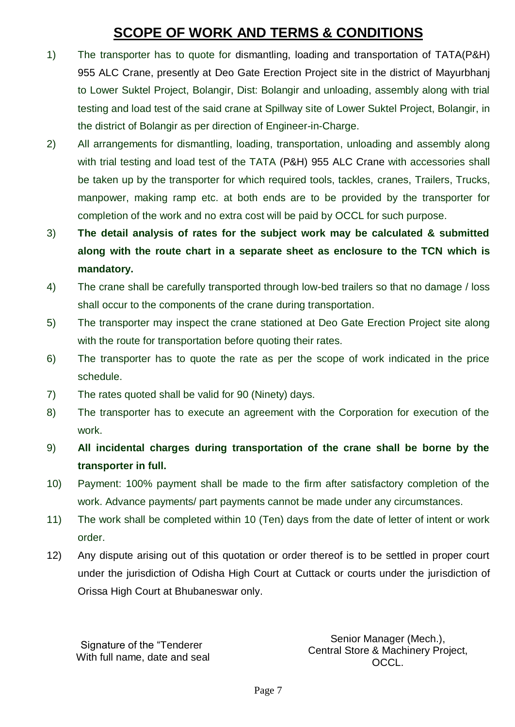## **SCOPE OF WORK AND TERMS & CONDITIONS**

- 1) The transporter has to quote for dismantling, loading and transportation of TATA(P&H) 955 ALC Crane, presently at Deo Gate Erection Project site in the district of Mayurbhanj to Lower Suktel Project, Bolangir, Dist: Bolangir and unloading, assembly along with trial testing and load test of the said crane at Spillway site of Lower Suktel Project, Bolangir, in the district of Bolangir as per direction of Engineer-in-Charge.
- 2) All arrangements for dismantling, loading, transportation, unloading and assembly along with trial testing and load test of the TATA (P&H) 955 ALC Crane with accessories shall be taken up by the transporter for which required tools, tackles, cranes, Trailers, Trucks, manpower, making ramp etc. at both ends are to be provided by the transporter for completion of the work and no extra cost will be paid by OCCL for such purpose.
- 3) **The detail analysis of rates for the subject work may be calculated & submitted along with the route chart in a separate sheet as enclosure to the TCN which is mandatory.**
- 4) The crane shall be carefully transported through low-bed trailers so that no damage / loss shall occur to the components of the crane during transportation.
- 5) The transporter may inspect the crane stationed at Deo Gate Erection Project site along with the route for transportation before quoting their rates.
- 6) The transporter has to quote the rate as per the scope of work indicated in the price schedule.
- 7) The rates quoted shall be valid for 90 (Ninety) days.
- 8) The transporter has to execute an agreement with the Corporation for execution of the work.
- 9) **All incidental charges during transportation of the crane shall be borne by the transporter in full.**
- 10) Payment: 100% payment shall be made to the firm after satisfactory completion of the work. Advance payments/ part payments cannot be made under any circumstances.
- 11) The work shall be completed within 10 (Ten) days from the date of letter of intent or work order.
- 12) Any dispute arising out of this quotation or order thereof is to be settled in proper court under the jurisdiction of Odisha High Court at Cuttack or courts under the jurisdiction of Orissa High Court at Bhubaneswar only.

Signature of the "Tenderer With full name, date and seal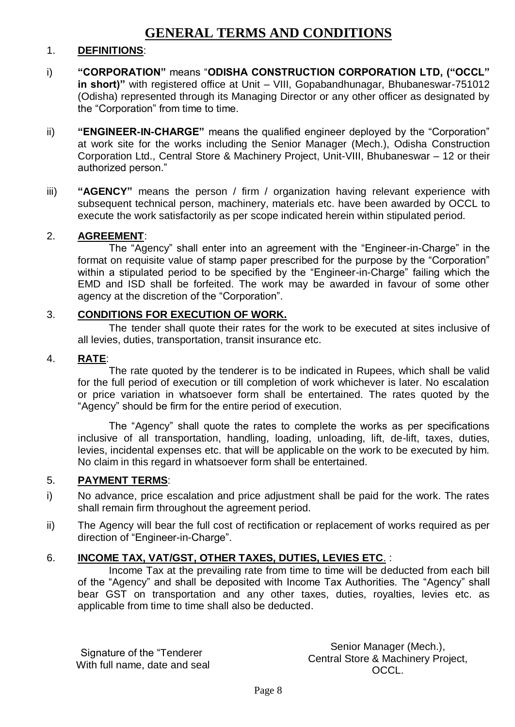### **GENERAL TERMS AND CONDITIONS**

#### 1. **DEFINITIONS**:

- i) **"CORPORATION"** means "**ODISHA CONSTRUCTION CORPORATION LTD, ("OCCL" in short)**" with registered office at Unit – VIII, Gopabandhunagar, Bhubaneswar-751012 (Odisha) represented through its Managing Director or any other officer as designated by the "Corporation" from time to time.
- ii) **"ENGINEER-IN-CHARGE"** means the qualified engineer deployed by the "Corporation" at work site for the works including the Senior Manager (Mech.), Odisha Construction Corporation Ltd., Central Store & Machinery Project, Unit-VIII, Bhubaneswar – 12 or their authorized person."
- iii) **"AGENCY**" means the person / firm / organization having relevant experience with subsequent technical person, machinery, materials etc. have been awarded by OCCL to execute the work satisfactorily as per scope indicated herein within stipulated period.

#### 2. **AGREEMENT**:

The "Agency" shall enter into an agreement with the "Engineer-in-Charge" in the format on requisite value of stamp paper prescribed for the purpose by the "Corporation" within a stipulated period to be specified by the "Engineer-in-Charge" failing which the EMD and ISD shall be forfeited. The work may be awarded in favour of some other agency at the discretion of the "Corporation".

#### 3. **CONDITIONS FOR EXECUTION OF WORK.**

The tender shall quote their rates for the work to be executed at sites inclusive of all levies, duties, transportation, transit insurance etc.

#### 4. **RATE**:

The rate quoted by the tenderer is to be indicated in Rupees, which shall be valid for the full period of execution or till completion of work whichever is later. No escalation or price variation in whatsoever form shall be entertained. The rates quoted by the "Agency" should be firm for the entire period of execution.

The "Agency" shall quote the rates to complete the works as per specifications inclusive of all transportation, handling, loading, unloading, lift, de-lift, taxes, duties, levies, incidental expenses etc. that will be applicable on the work to be executed by him. No claim in this regard in whatsoever form shall be entertained.

#### 5. **PAYMENT TERMS**:

- i) No advance, price escalation and price adjustment shall be paid for the work. The rates shall remain firm throughout the agreement period.
- ii) The Agency will bear the full cost of rectification or replacement of works required as per direction of "Engineer-in-Charge".

#### 6. **INCOME TAX, VAT/GST, OTHER TAXES, DUTIES, LEVIES ETC**. :

Income Tax at the prevailing rate from time to time will be deducted from each bill of the "Agency" and shall be deposited with Income Tax Authorities. The "Agency" shall bear GST on transportation and any other taxes, duties, royalties, levies etc. as applicable from time to time shall also be deducted.

Signature of the "Tenderer With full name, date and seal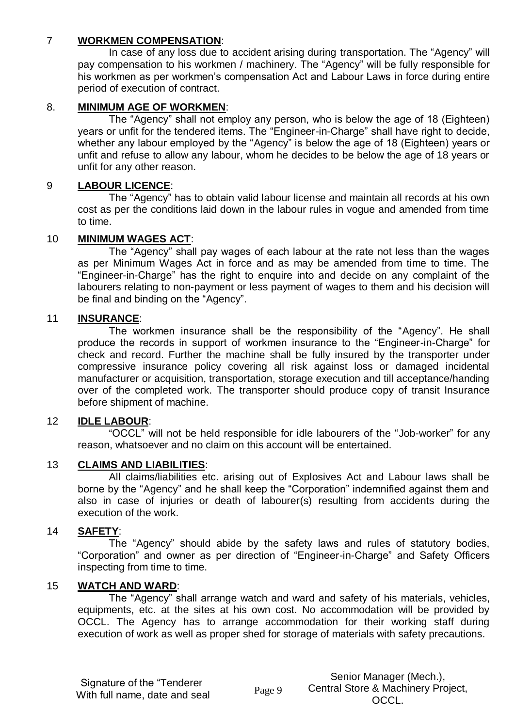#### 7 **WORKMEN COMPENSATION**:

In case of any loss due to accident arising during transportation. The "Agency" will pay compensation to his workmen / machinery. The "Agency" will be fully responsible for his workmen as per workmen's compensation Act and Labour Laws in force during entire period of execution of contract.

#### 8. **MINIMUM AGE OF WORKMEN**:

The "Agency" shall not employ any person, who is below the age of 18 (Eighteen) years or unfit for the tendered items. The "Engineer-in-Charge" shall have right to decide, whether any labour employed by the "Agency" is below the age of 18 (Eighteen) years or unfit and refuse to allow any labour, whom he decides to be below the age of 18 years or unfit for any other reason.

#### 9 **LABOUR LICENCE**:

The "Agency" has to obtain valid labour license and maintain all records at his own cost as per the conditions laid down in the labour rules in vogue and amended from time to time.

#### 10 **MINIMUM WAGES ACT**:

The "Agency" shall pay wages of each labour at the rate not less than the wages as per Minimum Wages Act in force and as may be amended from time to time. The "Engineer-in-Charge" has the right to enquire into and decide on any complaint of the labourers relating to non-payment or less payment of wages to them and his decision will be final and binding on the "Agency".

#### 11 **INSURANCE**:

The workmen insurance shall be the responsibility of the "Agency". He shall produce the records in support of workmen insurance to the "Engineer-in-Charge" for check and record. Further the machine shall be fully insured by the transporter under compressive insurance policy covering all risk against loss or damaged incidental manufacturer or acquisition, transportation, storage execution and till acceptance/handing over of the completed work. The transporter should produce copy of transit Insurance before shipment of machine.

#### 12 **IDLE LABOUR**:

"OCCL" will not be held responsible for idle labourers of the "Job-worker" for any reason, whatsoever and no claim on this account will be entertained.

#### 13 **CLAIMS AND LIABILITIES**:

All claims/liabilities etc. arising out of Explosives Act and Labour laws shall be borne by the "Agency" and he shall keep the "Corporation" indemnified against them and also in case of injuries or death of labourer(s) resulting from accidents during the execution of the work.

#### 14 **SAFETY**:

The "Agency" should abide by the safety laws and rules of statutory bodies, "Corporation" and owner as per direction of "Engineer-in-Charge" and Safety Officers inspecting from time to time.

#### 15 **WATCH AND WARD**:

The "Agency" shall arrange watch and ward and safety of his materials, vehicles, equipments, etc. at the sites at his own cost. No accommodation will be provided by OCCL. The Agency has to arrange accommodation for their working staff during execution of work as well as proper shed for storage of materials with safety precautions.

Page 9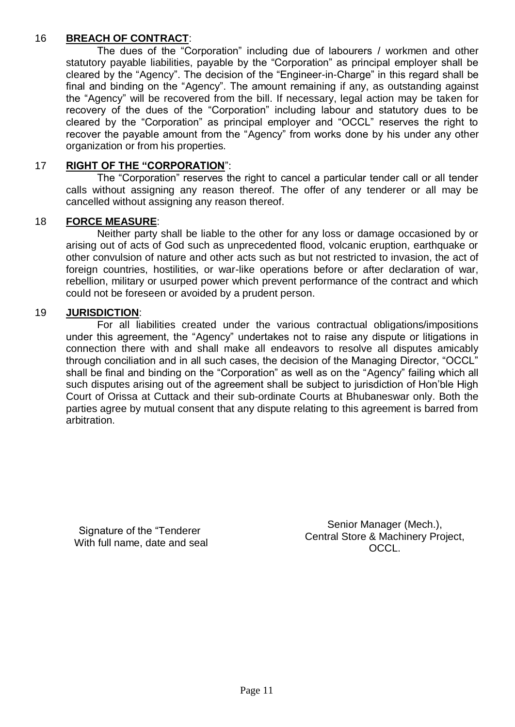#### 16 **BREACH OF CONTRACT**:

The dues of the "Corporation" including due of labourers / workmen and other statutory payable liabilities, payable by the "Corporation" as principal employer shall be cleared by the "Agency". The decision of the "Engineer-in-Charge" in this regard shall be final and binding on the "Agency". The amount remaining if any, as outstanding against the "Agency" will be recovered from the bill. If necessary, legal action may be taken for recovery of the dues of the "Corporation" including labour and statutory dues to be cleared by the "Corporation" as principal employer and "OCCL" reserves the right to recover the payable amount from the "Agency" from works done by his under any other organization or from his properties.

#### 17 **RIGHT OF THE "CORPORATION**":

The "Corporation" reserves the right to cancel a particular tender call or all tender calls without assigning any reason thereof. The offer of any tenderer or all may be cancelled without assigning any reason thereof.

#### 18 **FORCE MEASURE**:

Neither party shall be liable to the other for any loss or damage occasioned by or arising out of acts of God such as unprecedented flood, volcanic eruption, earthquake or other convulsion of nature and other acts such as but not restricted to invasion, the act of foreign countries, hostilities, or war-like operations before or after declaration of war, rebellion, military or usurped power which prevent performance of the contract and which could not be foreseen or avoided by a prudent person.

#### 19 **JURISDICTION**:

For all liabilities created under the various contractual obligations/impositions under this agreement, the "Agency" undertakes not to raise any dispute or litigations in connection there with and shall make all endeavors to resolve all disputes amicably through conciliation and in all such cases, the decision of the Managing Director, "OCCL" shall be final and binding on the "Corporation" as well as on the "Agency" failing which all such disputes arising out of the agreement shall be subiect to jurisdiction of Hon'ble High Court of Orissa at Cuttack and their sub-ordinate Courts at Bhubaneswar only. Both the parties agree by mutual consent that any dispute relating to this agreement is barred from arbitration.

Signature of the "Tenderer With full name, date and seal